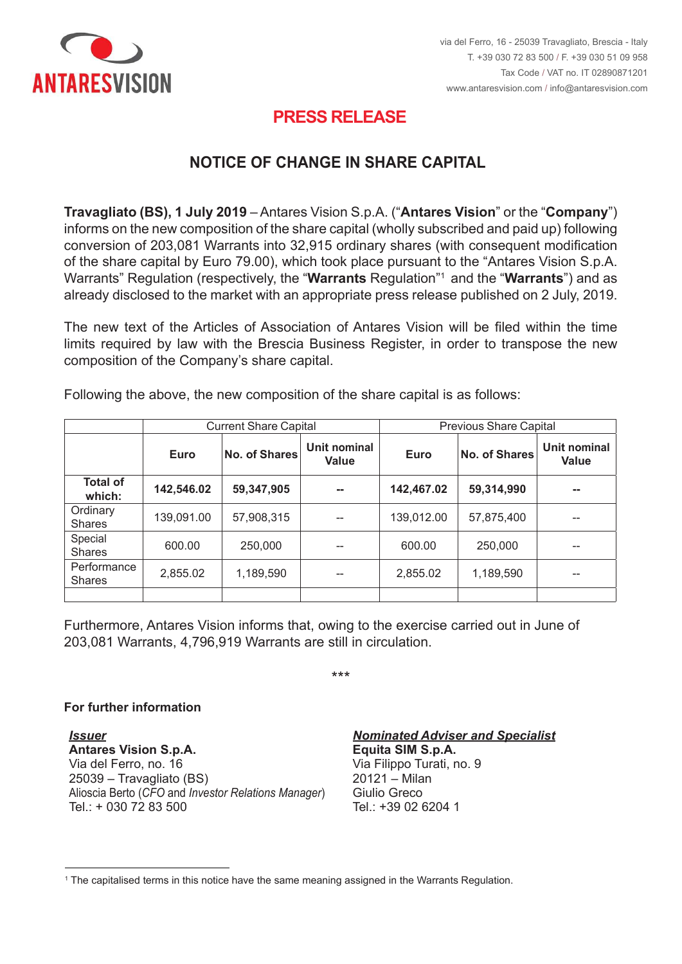

## **PRESS RELEASE PRESS RELEASE**

## <code>NOTICE OF CHANGE</code> IN SHARE CAPITAL

**Travagliato (BS), 1 July 2019** – Antares Vision S.p.A. ("Antares Vision" or the "Company") **Travagliato (BS), 1 July 2019** – Antares Vision S.p.A. ("**Antares Vision**" or the "**Company**")<br>informs on the new composition of the share capital (wholly subscribed and paid up) following conversion of 203,081 Warrants into 32,915 ordinary shares (with consequent modification of the share capital by Euro 79.00), which took place pursuant to the "Antares Vision S.p.A. Warrants" Regulation (respectively, the "Warrants Regulation"<sup>1</sup> and the "Warrants") and as of the share capital by Euro 79.00), which took place pursuant to the "Antares Vision S.p.A.<br>Warrants" Regulation (respectively, the "**Warrants** Regulation"<sup>,</sup> and the "**Warrants**") and as<br>already disclosed to the market w

limits required by law with the Brescia Business Register, in order to transpose the new<br>composition of the Company's share capital. composition of the Company's share capital. The new text of the Articles of Association of Antares Vision will be filed within the time

|                              | <b>Current Share Capital</b> |                      |                       | <b>Previous Share Capital</b> |                      |                              |
|------------------------------|------------------------------|----------------------|-----------------------|-------------------------------|----------------------|------------------------------|
|                              | Euro                         | <b>No. of Shares</b> | Unit nominal<br>Value | Euro                          | <b>No. of Shares</b> | Unit nominal<br><b>Value</b> |
| <b>Total of</b><br>which:    | 142,546.02                   | 59,347,905           | --                    | 142,467.02                    | 59,314,990           | --                           |
| Ordinary<br><b>Shares</b>    | 139,091.00                   | 57,908,315           | --                    | 139,012.00                    | 57,875,400           | --                           |
| Special<br><b>Shares</b>     | 600.00                       | 250,000              | --                    | 600.00                        | 250,000              | --                           |
| Performance<br><b>Shares</b> | 2,855.02                     | 1,189,590            | --                    | 2,855.02                      | 1,189,590            | --                           |
|                              |                              |                      |                       |                               |                      |                              |

Following the above, the new composition of the share capital is as follows:

Shares 2.855,02 1.189.590 -- 2,855,02 1.189.590 -- 2,855,02 1.189.590 -- 2,855,02 1.189.590 -- 2,855,02 1.189.<br>Shares 2.855,02 1.189.590 -- 2,855,02 1.189.590 -- 2,855,02 1.189.590 -- 2,855,02 1.189.590 -- 2,855,02 1.189 Furthermore, Antares Vision informs that, owing to the exercise carried out in June of 203,081 Warrants, 4,796,919 Warrants are still in circulation.

 $\star\star\star$ \*\*\*

## **For further information**

<u>.</u>

**Per maggiori in formazioni in contra di un per maggiori in contra di un per maggiori in contra di un per maggior** Via del Ferro, no. 16 **Antares Vision S.p.A.**  25039 – Travagliato (BS) 20121 – Milan Via del Ferro, n. 16 Alioscia Berto (*CFO* and *Investor Relations Manager*) Giulio Greco Tel.: + 030 72 83 500 **Tel.: +39 02 6204** 1 *Nominated Adviser e Specialista*  Via del Ferro, no. 16 Via Filippo Turati, no. 9 *Issuer Nominated Adviser and Specialist* **Antares Vision S.p.A. Equita SIM S.p.A.**

20121 – Milan<br>Giulio Greco Giulio Greco<br>Turismo Turco  $101.7 + 39020$ 

 $^{\rm 1}$  The capitalised terms in this notice have the same meaning assigned in the Warrants Regulation.